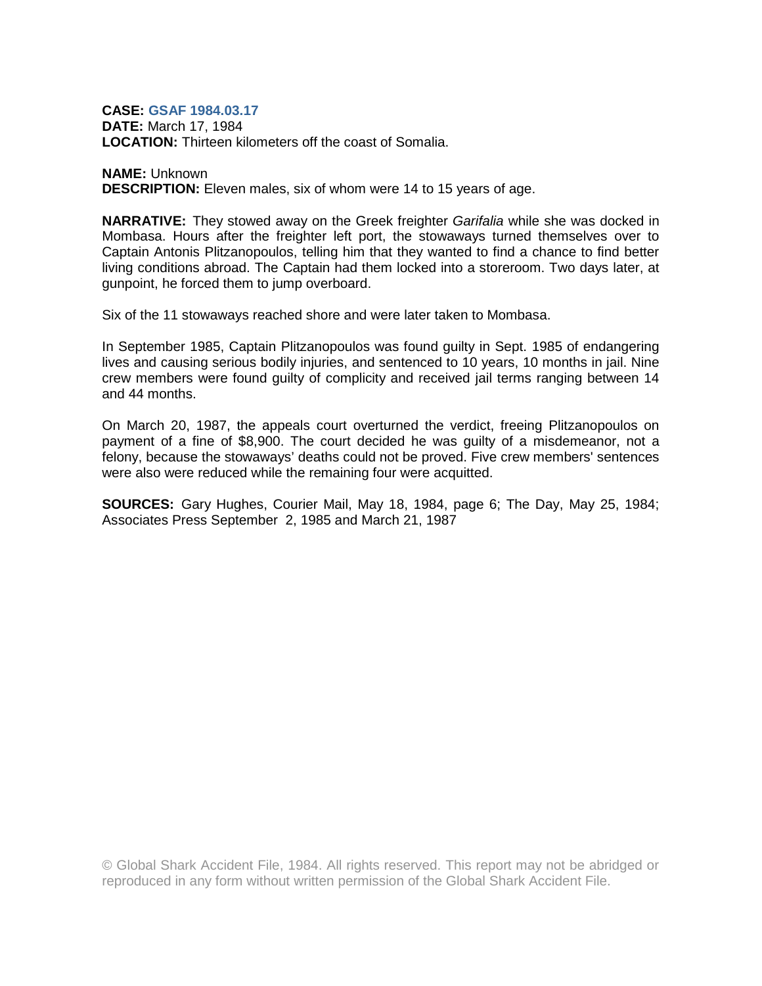## **CASE: GSAF 1984.03.17**

**DATE:** March 17, 1984 **LOCATION:** Thirteen kilometers off the coast of Somalia.

## **NAME:** Unknown

**DESCRIPTION:** Eleven males, six of whom were 14 to 15 years of age.

**NARRATIVE:** They stowed away on the Greek freighter *Garifalia* while she was docked in Mombasa. Hours after the freighter left port, the stowaways turned themselves over to Captain Antonis Plitzanopoulos, telling him that they wanted to find a chance to find better living conditions abroad. The Captain had them locked into a storeroom. Two days later, at gunpoint, he forced them to jump overboard.

Six of the 11 stowaways reached shore and were later taken to Mombasa.

In September 1985, Captain Plitzanopoulos was found guilty in Sept. 1985 of endangering lives and causing serious bodily injuries, and sentenced to 10 years, 10 months in jail. Nine crew members were found guilty of complicity and received jail terms ranging between 14 and 44 months.

On March 20, 1987, the appeals court overturned the verdict, freeing Plitzanopoulos on payment of a fine of \$8,900. The court decided he was guilty of a misdemeanor, not a felony, because the stowaways' deaths could not be proved. Five crew members' sentences were also were reduced while the remaining four were acquitted.

**SOURCES:** Gary Hughes, Courier Mail, May 18, 1984, page 6; The Day, May 25, 1984; Associates Press September 2, 1985 and March 21, 1987

© Global Shark Accident File, 1984. All rights reserved. This report may not be abridged or reproduced in any form without written permission of the Global Shark Accident File.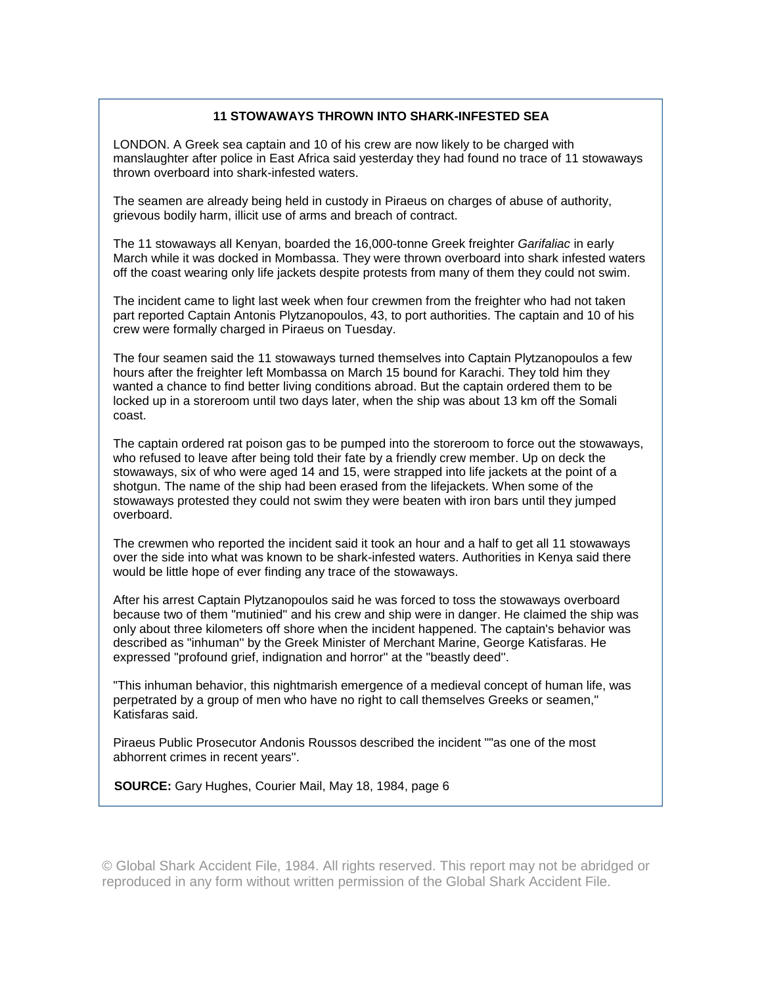## **11 STOWAWAYS THROWN INTO SHARK-INFESTED SEA**

LONDON. A Greek sea captain and 10 of his crew are now likely to be charged with manslaughter after police in East Africa said yesterday they had found no trace of 11 stowaways thrown overboard into shark-infested waters.

The seamen are already being held in custody in Piraeus on charges of abuse of authority, grievous bodily harm, illicit use of arms and breach of contract.

The 11 stowaways all Kenyan, boarded the 16,000-tonne Greek freighter *Garifaliac* in early March while it was docked in Mombassa. They were thrown overboard into shark infested waters off the coast wearing only life jackets despite protests from many of them they could not swim.

The incident came to light last week when four crewmen from the freighter who had not taken part reported Captain Antonis Plytzanopoulos, 43, to port authorities. The captain and 10 of his crew were formally charged in Piraeus on Tuesday.

The four seamen said the 11 stowaways turned themselves into Captain Plytzanopoulos a few hours after the freighter left Mombassa on March 15 bound for Karachi. They told him they wanted a chance to find better living conditions abroad. But the captain ordered them to be locked up in a storeroom until two days later, when the ship was about 13 km off the Somali coast.

The captain ordered rat poison gas to be pumped into the storeroom to force out the stowaways, who refused to leave after being told their fate by a friendly crew member. Up on deck the stowaways, six of who were aged 14 and 15, were strapped into life jackets at the point of a shotgun. The name of the ship had been erased from the lifejackets. When some of the stowaways protested they could not swim they were beaten with iron bars until they jumped overboard.

The crewmen who reported the incident said it took an hour and a half to get all 11 stowaways over the side into what was known to be shark-infested waters. Authorities in Kenya said there would be little hope of ever finding any trace of the stowaways.

After his arrest Captain Plytzanopoulos said he was forced to toss the stowaways overboard because two of them "mutinied'' and his crew and ship were in danger. He claimed the ship was only about three kilometers off shore when the incident happened. The captain's behavior was described as "inhuman'' by the Greek Minister of Merchant Marine, George Katisfaras. He expressed "profound grief, indignation and horror'' at the "beastly deed''.

"This inhuman behavior, this nightmarish emergence of a medieval concept of human life, was perpetrated by a group of men who have no right to call themselves Greeks or seamen,'' Katisfaras said.

Piraeus Public Prosecutor Andonis Roussos described the incident ""as one of the most abhorrent crimes in recent years''.

**SOURCE:** Gary Hughes, Courier Mail, May 18, 1984, page 6

© Global Shark Accident File, 1984. All rights reserved. This report may not be abridged or reproduced in any form without written permission of the Global Shark Accident File.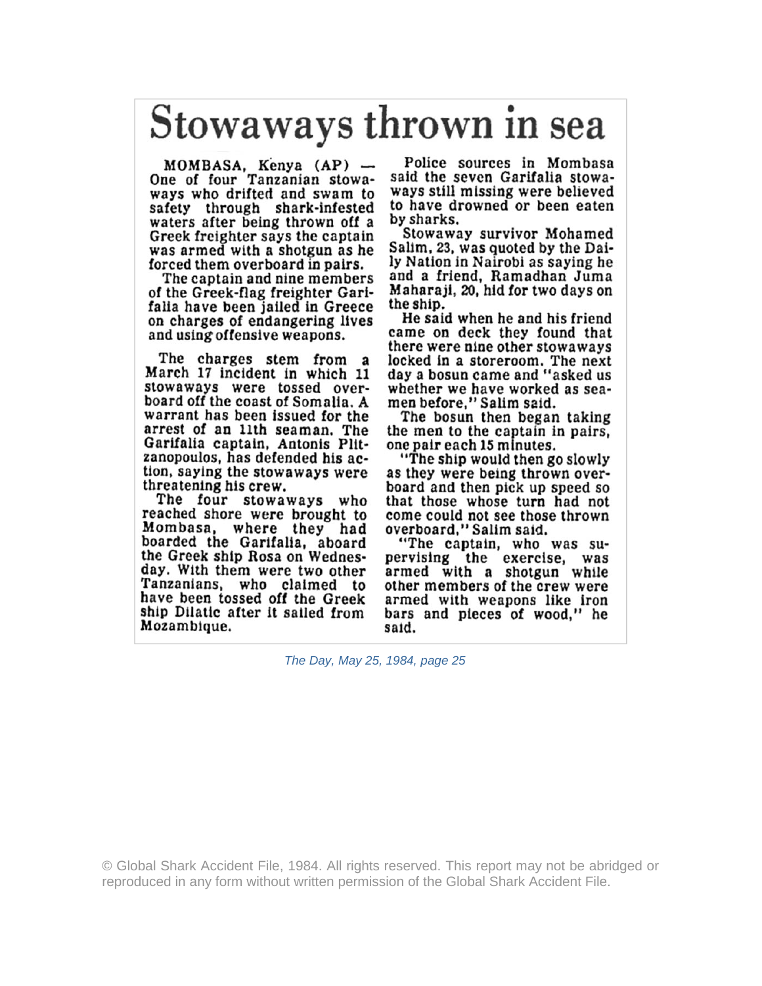## Stowaways thrown in sea

MOMBASA, Kenya (AP) --<br>One of four Tanzanian stowaways who drifted and swam to safety through shark-infested waters after being thrown off a Greek freighter says the captain was armed with a shotgun as he forced them overboard in pairs.

The captain and nine members of the Greek-flag freighter Garifalia have been jailed in Greece on charges of endangering lives and using offensive weapons.

The charges stem from a March 17 incident in which 11 stowaways were tossed overboard off the coast of Somalia. A warrant has been issued for the arrest of an 11th seaman. The Garifalia captain, Antonis Plitzanopoulos, has defended his action, saying the stowaways were threatening his crew.

The four stowaways who reached shore were brought to Mombasa, where they had boarded the Garifalia, aboard<br>the Greek ship Rosa on Wednesday. With them were two other Tanzanians, who claimed to have been tossed off the Greek ship Dilatic after it sailed from Mozambique.

Police sources in Mombasa said the seven Garifalia stowaways still missing were believed to have drowned or been eaten by sharks.

Stowaway survivor Mohamed Salim, 23, was quoted by the Daily Nation in Nairobi as saying he and a friend, Ramadhan Juma Maharaji, 20, hid for two days on the ship.

He said when he and his friend came on deck they found that there were nine other stowaways locked in a storeroom. The next<br>day a bosun came and "asked us whether we have worked as seamen before," Salim said.

The bosun then began taking the men to the captain in pairs, one pair each 15 minutes.

"The ship would then go slowly as they were being thrown overboard and then pick up speed so that those whose turn had not come could not see those thrown overboard," Salim said.

"The captain, who was supervising the exercise, was<br>armed with a shotgun while other members of the crew were armed with weapons like iron bars and pieces of wood," he said.

The Day, May 25, 1984, page 25

© Global Shark Accident File, 1984. All rights reserved. This report may not be abridged or reproduced in any form without written permission of the Global Shark Accident File.